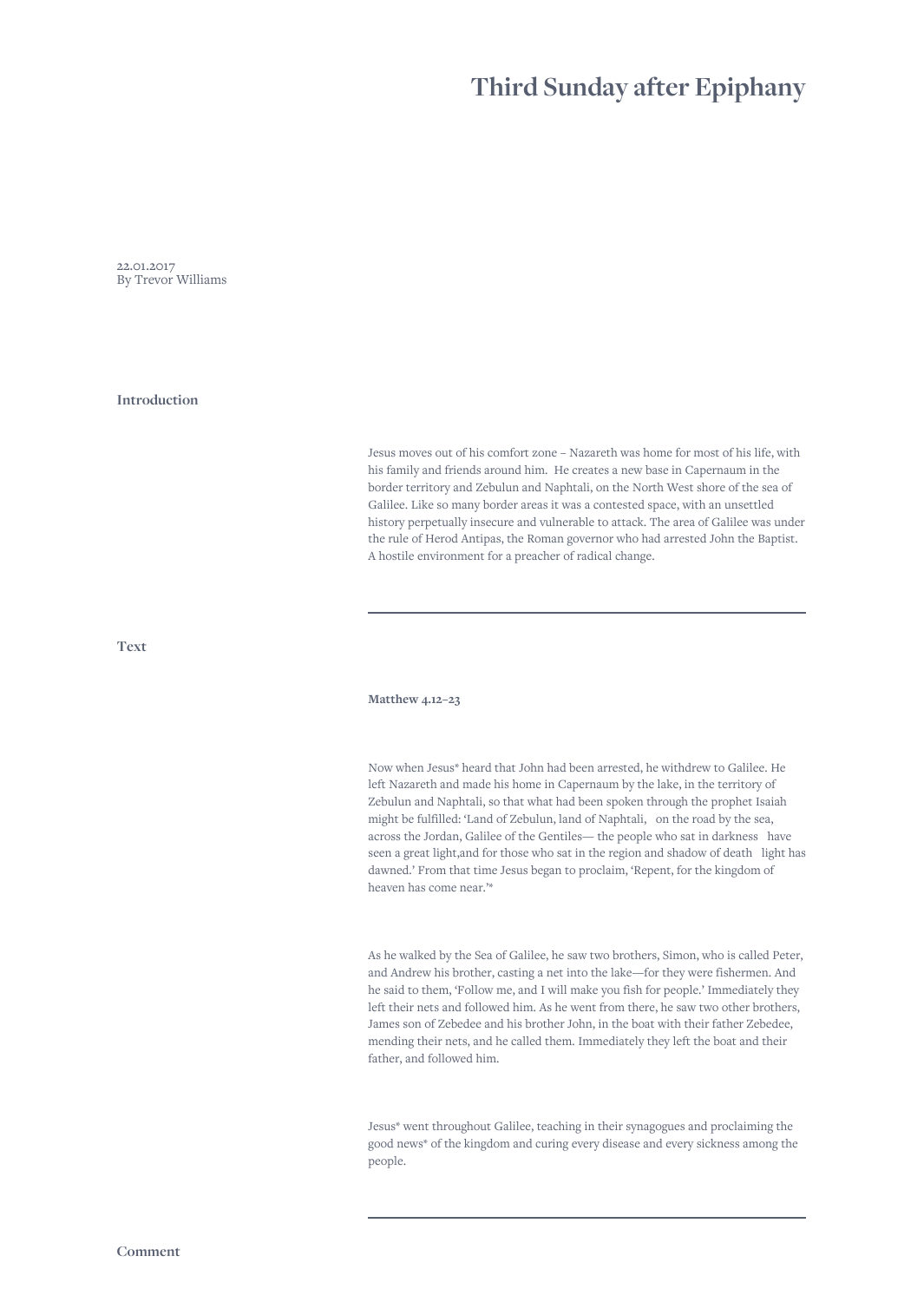# **Third Sunday after Epiphany**

22.01.2017 By Trevor Williams

**Introduction**

Jesus moves out of his comfort zone – Nazareth was home for most of his life, with his family and friends around him. He creates a new base in Capernaum in the border territory and Zebulun and Naphtali, on the North West shore of the sea of Galilee. Like so many border areas it was a contested space, with an unsettled history perpetually insecure and vulnerable to attack. The area of Galilee was under the rule of Herod Antipas, the Roman governor who had arrested John the Baptist. A hostile environment for a preacher of radical change.

**Text**

**Matthew 4.12–23**

Now when Jesus\* heard that John had been arrested, he withdrew to Galilee. He left Nazareth and made his home in Capernaum by the lake, in the territory of Zebulun and Naphtali, so that what had been spoken through the prophet Isaiah might be fulfilled: 'Land of Zebulun, land of Naphtali, on the road by the sea, across the Jordan, Galilee of the Gentiles— the people who sat in darkness have seen a great light,and for those who sat in the region and shadow of death light has dawned.' From that time Jesus began to proclaim, 'Repent, for the kingdom of heaven has come near.'\*

As he walked by the Sea of Galilee, he saw two brothers, Simon, who is called Peter, and Andrew his brother, casting a net into the lake—for they were fishermen. And he said to them, 'Follow me, and I will make you fish for people.' Immediately they left their nets and followed him. As he went from there, he saw two other brothers, James son of Zebedee and his brother John, in the boat with their father Zebedee, mending their nets, and he called them. Immediately they left the boat and their father, and followed him.

Jesus\* went throughout Galilee, teaching in their synagogues and proclaiming the good news\* of the kingdom and curing every disease and every sickness among the people.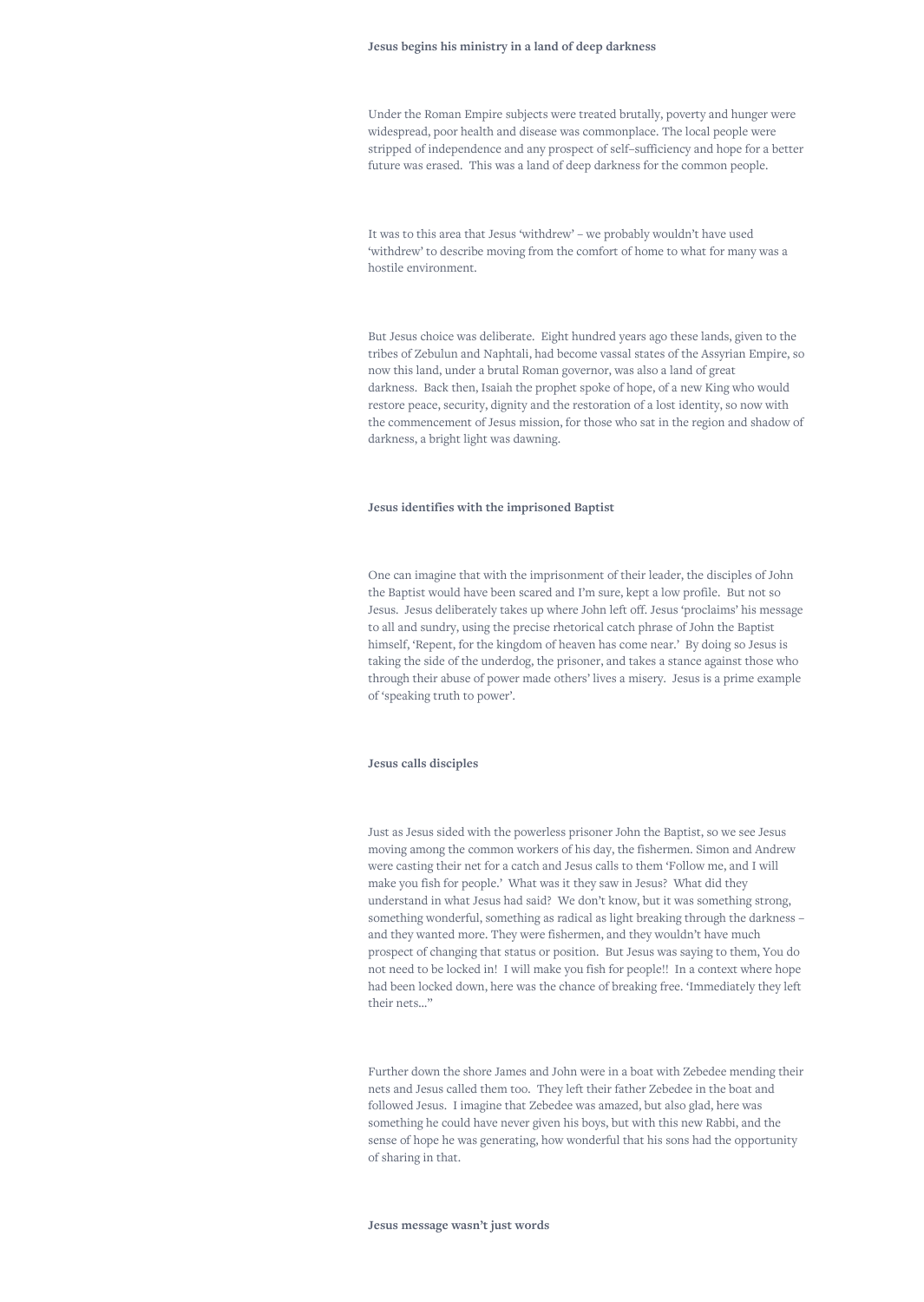#### **Jesus begins his ministry in a land of deep darkness**

Under the Roman Empire subjects were treated brutally, poverty and hunger were widespread, poor health and disease was commonplace. The local people were stripped of independence and any prospect of self–sufficiency and hope for a better future was erased. This was a land of deep darkness for the common people.

It was to this area that Jesus 'withdrew' – we probably wouldn't have used 'withdrew' to describe moving from the comfort of home to what for many was a hostile environment.

But Jesus choice was deliberate. Eight hundred years ago these lands, given to the tribes of Zebulun and Naphtali, had become vassal states of the Assyrian Empire, so now this land, under a brutal Roman governor, was also a land of great darkness. Back then, Isaiah the prophet spoke of hope, of a new King who would restore peace, security, dignity and the restoration of a lost identity, so now with the commencement of Jesus mission, for those who sat in the region and shadow of darkness, a bright light was dawning.

### **Jesus identifies with the imprisoned Baptist**

One can imagine that with the imprisonment of their leader, the disciples of John the Baptist would have been scared and I'm sure, kept a low profile. But not so Jesus. Jesus deliberately takes up where John left off. Jesus 'proclaims' his message to all and sundry, using the precise rhetorical catch phrase of John the Baptist himself, 'Repent, for the kingdom of heaven has come near.' By doing so Jesus is taking the side of the underdog, the prisoner, and takes a stance against those who through their abuse of power made others' lives a misery. Jesus is a prime example of 'speaking truth to power'.

#### **Jesus calls disciples**

Just as Jesus sided with the powerless prisoner John the Baptist, so we see Jesus moving among the common workers of his day, the fishermen. Simon and Andrew were casting their net for a catch and Jesus calls to them 'Follow me, and I will make you fish for people.' What was it they saw in Jesus? What did they understand in what Jesus had said? We don't know, but it was something strong, something wonderful, something as radical as light breaking through the darkness – and they wanted more. They were fishermen, and they wouldn't have much prospect of changing that status or position. But Jesus was saying to them, You do not need to be locked in! I will make you fish for people!! In a context where hope had been locked down, here was the chance of breaking free. 'Immediately they left their nets…"

Further down the shore James and John were in a boat with Zebedee mending their nets and Jesus called them too. They left their father Zebedee in the boat and followed Jesus. I imagine that Zebedee was amazed, but also glad, here was something he could have never given his boys, but with this new Rabbi, and the sense of hope he was generating, how wonderful that his sons had the opportunity of sharing in that.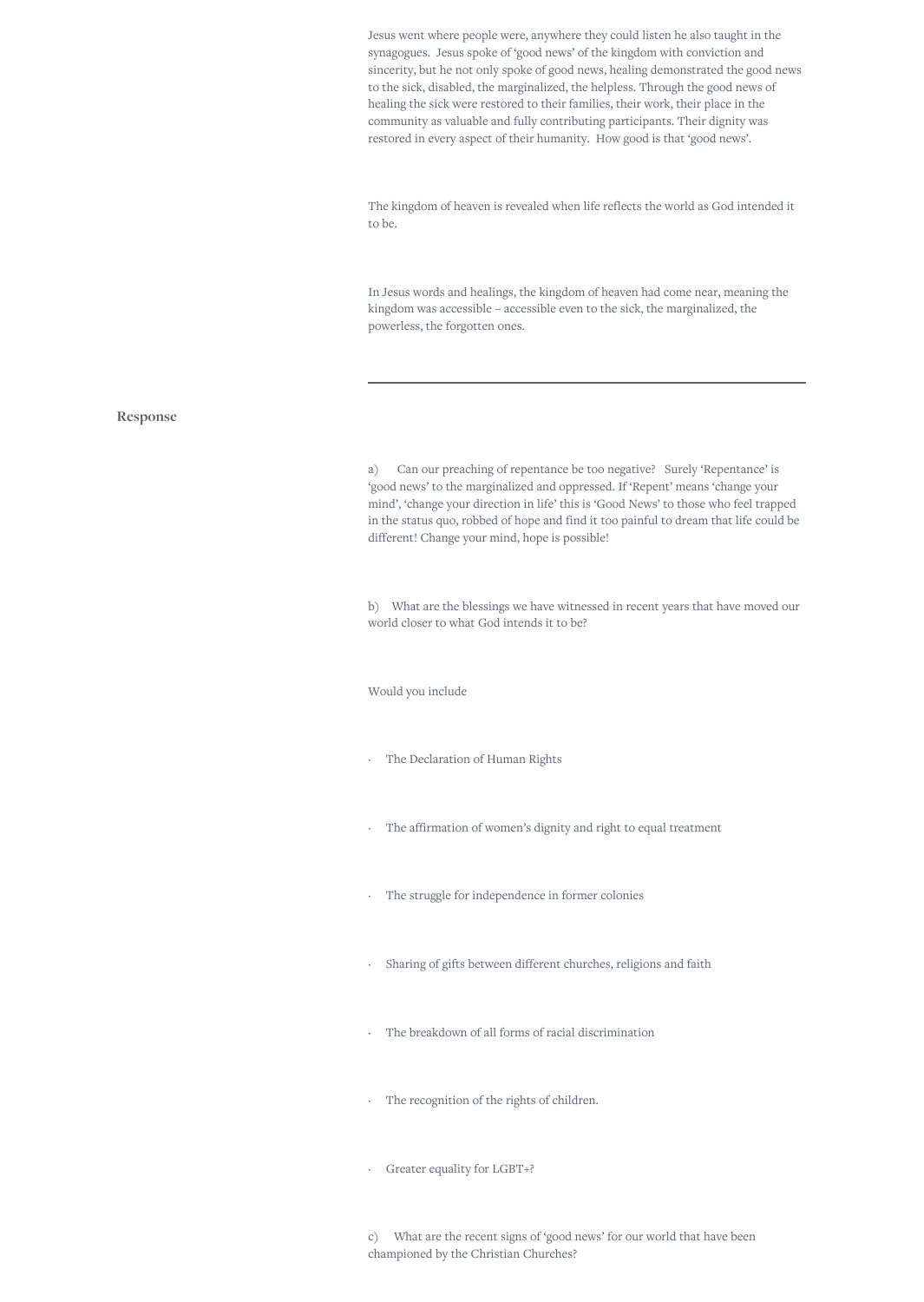Jesus went where people were, anywhere they could listen he also taught in the synagogues. Jesus spoke of 'good news' of the kingdom with conviction and sincerity, but he not only spoke of good news, healing demonstrated the good news to the sick, disabled, the marginalized, the helpless. Through the good news of healing the sick were restored to their families, their work, their place in the community as valuable and fully contributing participants. Their dignity was restored in every aspect of their humanity. How good is that 'good news'.

The kingdom of heaven is revealed when life reflects the world as God intended it to be.

In Jesus words and healings, the kingdom of heaven had come near, meaning the kingdom was accessible – accessible even to the sick, the marginalized, the powerless, the forgotten ones.

## **Response**

a) Can our preaching of repentance be too negative? Surely 'Repentance' is 'good news' to the marginalized and oppressed. If 'Repent' means 'change your mind', 'change your direction in life' this is 'Good News' to those who feel trapped in the status quo, robbed of hope and find it too painful to dream that life could be different! Change your mind, hope is possible!

b) What are the blessings we have witnessed in recent years that have moved our world closer to what God intends it to be?

Would you include

- The Declaration of Human Rights
- The affirmation of women's dignity and right to equal treatment
- The struggle for independence in former colonies
- Sharing of gifts between different churches, religions and faith
- The breakdown of all forms of racial discrimination
- The recognition of the rights of children.
- · Greater equality for LGBT+?

c) What are the recent signs of 'good news' for our world that have been championed by the Christian Churches?